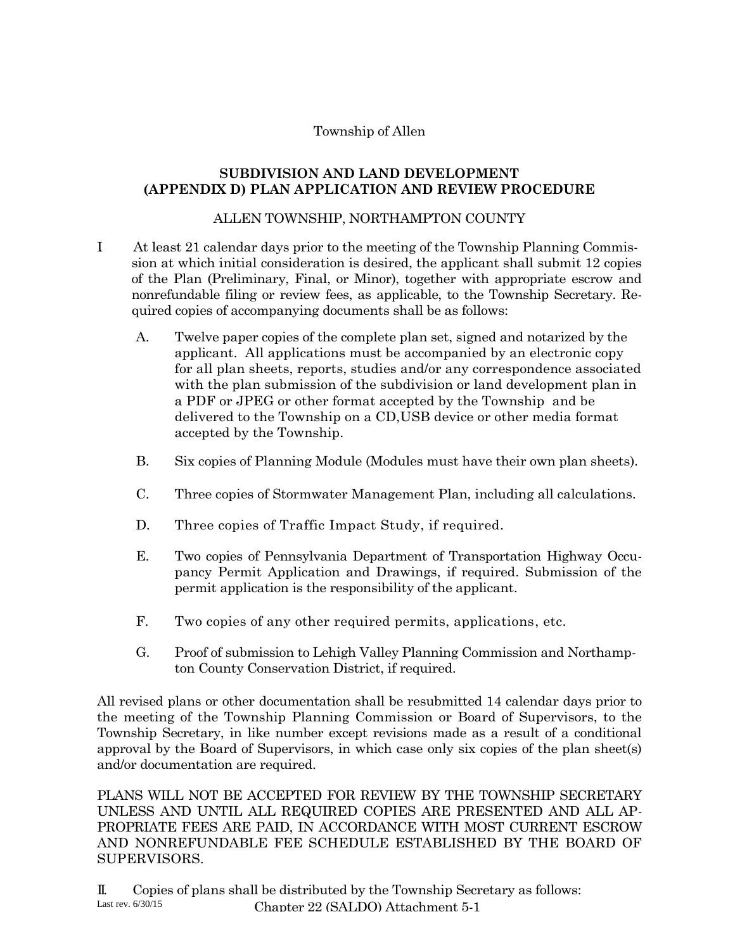## Township of Allen

## **SUBDIVISION AND LAND DEVELOPMENT (APPENDIX D) PLAN APPLICATION AND REVIEW PROCEDURE**

## ALLEN TOWNSHIP, NORTHAMPTON COUNTY

- I. At least 21 calendar days prior to the meeting of the Township Planning Commission at which initial consideration is desired, the applicant shall submit 12 copies of the Plan (Preliminary, Final, or Minor), together with appropriate escrow and nonrefundable filing or review fees, as applicable, to the Township Secretary. Required copies of accompanying documents shall be as follows:
	- A. Twelve paper copies of the complete plan set, signed and notarized by the applicant. All applications must be accompanied by an electronic copy for all plan sheets, reports, studies and/or any correspondence associated with the plan submission of the subdivision or land development plan in a PDF or JPEG or other format accepted by the Township and be delivered to the Township on a CD,USB device or other media format accepted by the Township.
	- B. Six copies of Planning Module (Modules must have their own plan sheets).
	- C. Three copies of Stormwater Management Plan, including all calculations.
	- D. Three copies of Traffic Impact Study, if required.
	- E. Two copies of Pennsylvania Department of Transportation Highway Occupancy Permit Application and Drawings, if required. Submission of the permit application is the responsibility of the applicant.
	- F. Two copies of any other required permits, applications, etc.
	- G. Proof of submission to Lehigh Valley Planning Commission and Northampton County Conservation District, if required.

All revised plans or other documentation shall be resubmitted 14 calendar days prior to the meeting of the Township Planning Commission or Board of Supervisors, to the Township Secretary, in like number except revisions made as a result of a conditional approval by the Board of Supervisors, in which case only six copies of the plan sheet(s) and/or documentation are required.

PLANS WILL NOT BE ACCEPTED FOR REVIEW BY THE TOWNSHIP SECRETARY UNLESS AND UNTIL ALL REQUIRED COPIES ARE PRESENTED AND ALL AP-PROPRIATE FEES ARE PAID, IN ACCORDANCE WITH MOST CURRENT ESCROW AND NONREFUNDABLE FEE SCHEDULE ESTABLISHED BY THE BOARD OF SUPERVISORS.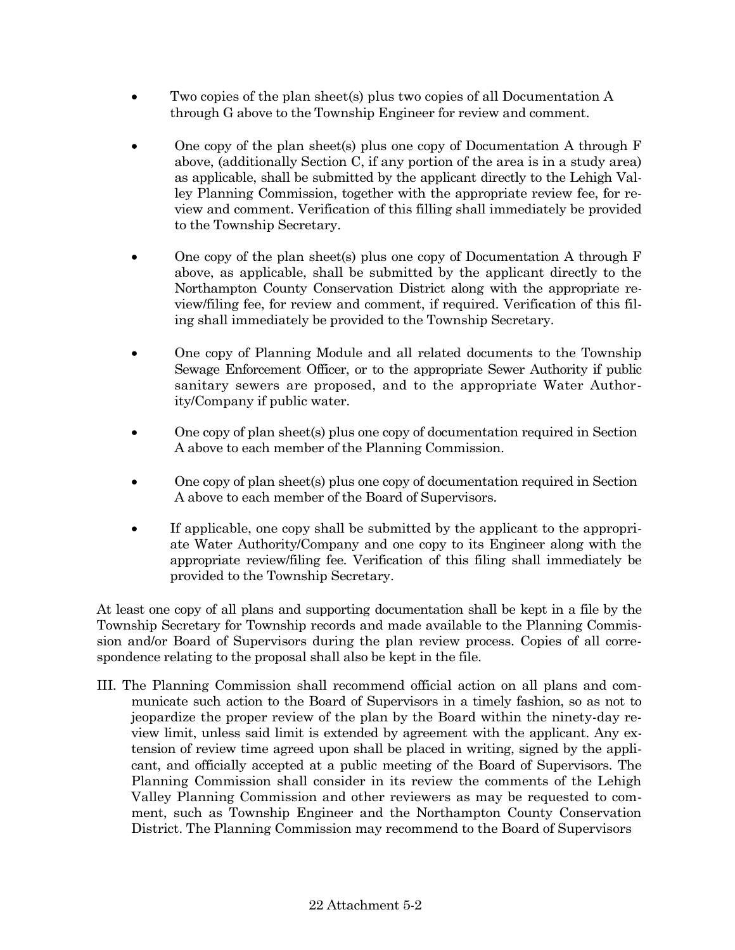- Two copies of the plan sheet(s) plus two copies of all Documentation A through G above to the Township Engineer for review and comment.
- One copy of the plan sheet(s) plus one copy of Documentation A through F above, (additionally Section C, if any portion of the area is in a study area) as applicable, shall be submitted by the applicant directly to the Lehigh Valley Planning Commission, together with the appropriate review fee, for review and comment. Verification of this filling shall immediately be provided to the Township Secretary.
- One copy of the plan sheet(s) plus one copy of Documentation A through F above, as applicable, shall be submitted by the applicant directly to the Northampton County Conservation District along with the appropriate review/filing fee, for review and comment, if required. Verification of this filing shall immediately be provided to the Township Secretary.
- One copy of Planning Module and all related documents to the Township Sewage Enforcement Officer, or to the appropriate Sewer Authority if public sanitary sewers are proposed, and to the appropriate Water Authority/Company if public water.
- One copy of plan sheet(s) plus one copy of documentation required in Section A above to each member of the Planning Commission.
- One copy of plan sheet(s) plus one copy of documentation required in Section A above to each member of the Board of Supervisors.
- If applicable, one copy shall be submitted by the applicant to the appropriate Water Authority/Company and one copy to its Engineer along with the appropriate review/filing fee. Verification of this filing shall immediately be provided to the Township Secretary.

At least one copy of all plans and supporting documentation shall be kept in a file by the Township Secretary for Township records and made available to the Planning Commission and/or Board of Supervisors during the plan review process. Copies of all correspondence relating to the proposal shall also be kept in the file.

III. The Planning Commission shall recommend official action on all plans and communicate such action to the Board of Supervisors in a timely fashion, so as not to jeopardize the proper review of the plan by the Board within the ninety-day review limit, unless said limit is extended by agreement with the applicant. Any extension of review time agreed upon shall be placed in writing, signed by the applicant, and officially accepted at a public meeting of the Board of Supervisors. The Planning Commission shall consider in its review the comments of the Lehigh Valley Planning Commission and other reviewers as may be requested to comment, such as Township Engineer and the Northampton County Conservation District. The Planning Commission may recommend to the Board of Supervisors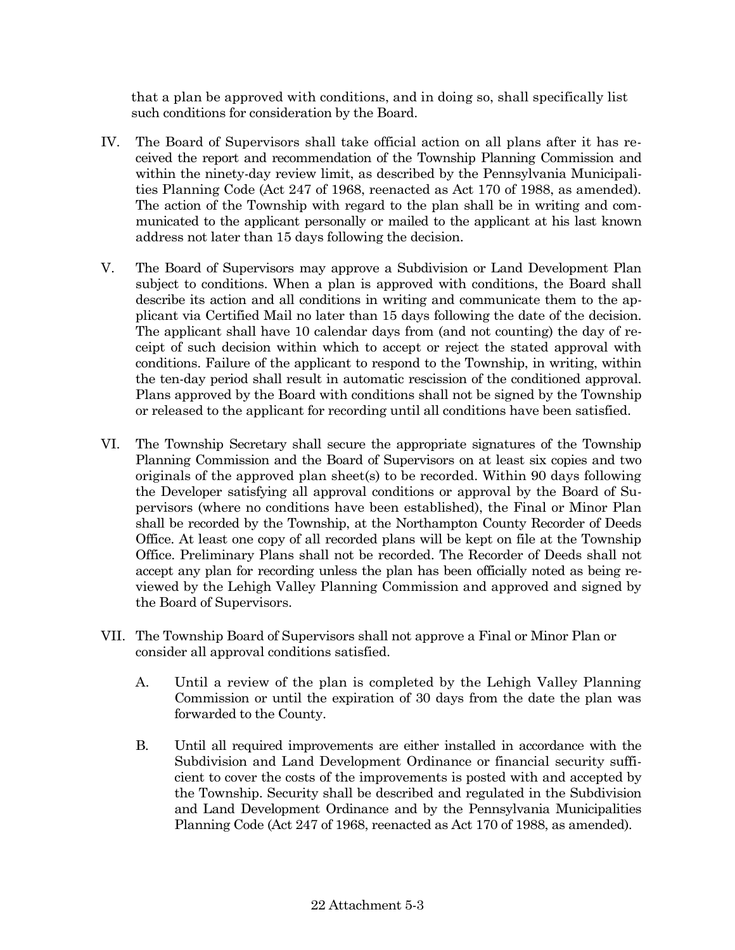that a plan be approved with conditions, and in doing so, shall specifically list such conditions for consideration by the Board.

- IV. The Board of Supervisors shall take official action on all plans after it has received the report and recommendation of the Township Planning Commission and within the ninety-day review limit, as described by the Pennsylvania Municipalities Planning Code (Act 247 of 1968, reenacted as Act 170 of 1988, as amended). The action of the Township with regard to the plan shall be in writing and communicated to the applicant personally or mailed to the applicant at his last known address not later than 15 days following the decision.
- V. The Board of Supervisors may approve a Subdivision or Land Development Plan subject to conditions. When a plan is approved with conditions, the Board shall describe its action and all conditions in writing and communicate them to the applicant via Certified Mail no later than 15 days following the date of the decision. The applicant shall have 10 calendar days from (and not counting) the day of receipt of such decision within which to accept or reject the stated approval with conditions. Failure of the applicant to respond to the Township, in writing, within the ten-day period shall result in automatic rescission of the conditioned approval. Plans approved by the Board with conditions shall not be signed by the Township or released to the applicant for recording until all conditions have been satisfied.
- VI. The Township Secretary shall secure the appropriate signatures of the Township Planning Commission and the Board of Supervisors on at least six copies and two originals of the approved plan sheet(s) to be recorded. Within 90 days following the Developer satisfying all approval conditions or approval by the Board of Supervisors (where no conditions have been established), the Final or Minor Plan shall be recorded by the Township, at the Northampton County Recorder of Deeds Office. At least one copy of all recorded plans will be kept on file at the Township Office. Preliminary Plans shall not be recorded. The Recorder of Deeds shall not accept any plan for recording unless the plan has been officially noted as being reviewed by the Lehigh Valley Planning Commission and approved and signed by the Board of Supervisors.
- VII. The Township Board of Supervisors shall not approve a Final or Minor Plan or consider all approval conditions satisfied.
	- A. Until a review of the plan is completed by the Lehigh Valley Planning Commission or until the expiration of 30 days from the date the plan was forwarded to the County.
	- B. Until all required improvements are either installed in accordance with the Subdivision and Land Development Ordinance or financial security sufficient to cover the costs of the improvements is posted with and accepted by the Township. Security shall be described and regulated in the Subdivision and Land Development Ordinance and by the Pennsylvania Municipalities Planning Code (Act 247 of 1968, reenacted as Act 170 of 1988, as amended).